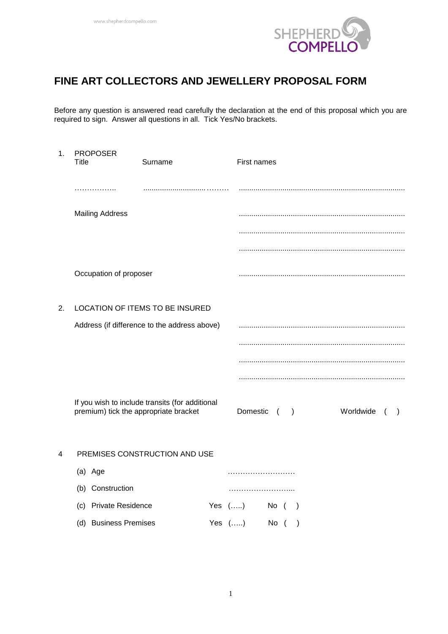

# **FINE ART COLLECTORS AND JEWELLERY PROPOSAL FORM**

Before any question is answered read carefully the declaration at the end of this proposal which you are required to sign. Answer all questions in all. Tick Yes/No brackets.

| 1. | <b>PROPOSER</b><br>Title              | Surname                                         | First names                                          |  |  |  |  |  |  |  |  |  |
|----|---------------------------------------|-------------------------------------------------|------------------------------------------------------|--|--|--|--|--|--|--|--|--|
|    | .                                     |                                                 |                                                      |  |  |  |  |  |  |  |  |  |
|    | <b>Mailing Address</b>                |                                                 |                                                      |  |  |  |  |  |  |  |  |  |
|    |                                       |                                                 |                                                      |  |  |  |  |  |  |  |  |  |
|    |                                       |                                                 |                                                      |  |  |  |  |  |  |  |  |  |
|    | Occupation of proposer                |                                                 |                                                      |  |  |  |  |  |  |  |  |  |
| 2. |                                       | LOCATION OF ITEMS TO BE INSURED                 |                                                      |  |  |  |  |  |  |  |  |  |
|    |                                       | Address (if difference to the address above)    |                                                      |  |  |  |  |  |  |  |  |  |
|    |                                       |                                                 |                                                      |  |  |  |  |  |  |  |  |  |
|    |                                       |                                                 |                                                      |  |  |  |  |  |  |  |  |  |
|    |                                       |                                                 |                                                      |  |  |  |  |  |  |  |  |  |
|    | premium) tick the appropriate bracket | If you wish to include transits (for additional | Domestic<br>Worldwide<br>$\overline{ }$<br>$\lambda$ |  |  |  |  |  |  |  |  |  |
| 4  |                                       | PREMISES CONSTRUCTION AND USE                   |                                                      |  |  |  |  |  |  |  |  |  |
|    | (a) Age                               |                                                 |                                                      |  |  |  |  |  |  |  |  |  |
|    | (b) Construction                      |                                                 |                                                      |  |  |  |  |  |  |  |  |  |

| (c) Private Residence | Yes $()$ No ( ) |  |  |
|-----------------------|-----------------|--|--|
| (d) Business Premises | Yes $()$ No ()  |  |  |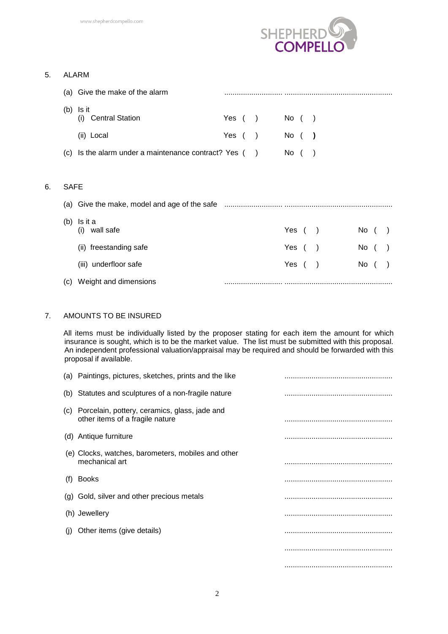

#### 5. ALARM

 $6.$ 

|             | (a) Give the make of the alarm                           |           |               |           |               |      |  |
|-------------|----------------------------------------------------------|-----------|---------------|-----------|---------------|------|--|
| (b)         | Is it<br>(i) Central Station                             | Yes $( )$ |               | $No$ ( )  |               |      |  |
|             | (ii) Local                                               | Yes (     | $\rightarrow$ | No ( )    |               |      |  |
|             | (c) Is the alarm under a maintenance contract? Yes $($ ) |           |               | $No$ ( )  |               |      |  |
|             |                                                          |           |               |           |               |      |  |
| <b>SAFE</b> |                                                          |           |               |           |               |      |  |
|             |                                                          |           |               |           |               |      |  |
| (b)         | Is it a<br>wall safe<br>(i)                              |           |               | Yes $( )$ |               | No ( |  |
|             | (ii) freestanding safe                                   |           |               | Yes (     | $\rightarrow$ | No ( |  |
|             | (iii) underfloor safe                                    |           |               | Yes (     |               | No ( |  |
| (C)         | Weight and dimensions                                    |           |               |           |               |      |  |

#### 7. AMOUNTS TO BE INSURED

All items must be individually listed by the proposer stating for each item the amount for which insurance is sought, which is to be the market value. The list must be submitted with this proposal. An independent professional valuation/appraisal may be required and should be forwarded with this proposal if available.

|              | (a) Paintings, pictures, sketches, prints and the like                               |  |
|--------------|--------------------------------------------------------------------------------------|--|
|              | (b) Statutes and sculptures of a non-fragile nature                                  |  |
|              | (c) Porcelain, pottery, ceramics, glass, jade and<br>other items of a fragile nature |  |
|              | (d) Antique furniture                                                                |  |
|              | (e) Clocks, watches, barometers, mobiles and other<br>mechanical art                 |  |
| (f)          | <b>Books</b>                                                                         |  |
|              | (g) Gold, silver and other precious metals                                           |  |
|              | (h) Jewellery                                                                        |  |
| $\mathbf{I}$ | Other items (give details)                                                           |  |
|              |                                                                                      |  |
|              |                                                                                      |  |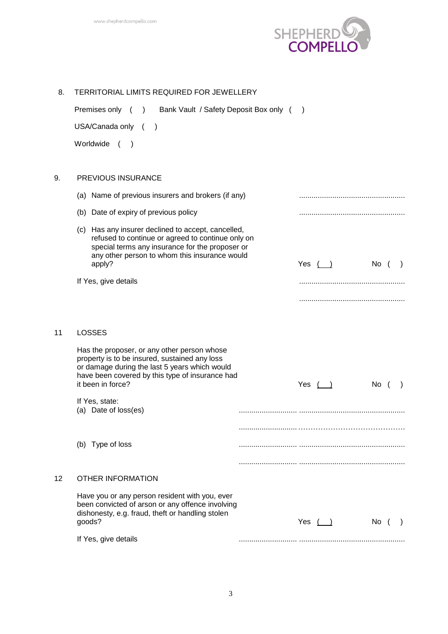

| 8. | <b>TERRITORIAL LIMITS REQUIRED FOR JEWELLERY</b>                                                                                                                                                                      |               |             |      |  |
|----|-----------------------------------------------------------------------------------------------------------------------------------------------------------------------------------------------------------------------|---------------|-------------|------|--|
|    | Premises only ()<br>Bank Vault / Safety Deposit Box only (                                                                                                                                                            | $\rightarrow$ |             |      |  |
|    | USA/Canada only (<br>$\rightarrow$                                                                                                                                                                                    |               |             |      |  |
|    | Worldwide<br>$\sqrt{2}$<br>$\rightarrow$                                                                                                                                                                              |               |             |      |  |
| 9. | PREVIOUS INSURANCE                                                                                                                                                                                                    |               |             |      |  |
|    | (a) Name of previous insurers and brokers (if any)                                                                                                                                                                    |               |             |      |  |
|    | (b) Date of expiry of previous policy                                                                                                                                                                                 |               |             |      |  |
|    | (c) Has any insurer declined to accept, cancelled,<br>refused to continue or agreed to continue only on<br>special terms any insurance for the proposer or<br>any other person to whom this insurance would<br>apply? |               | Yes $( )$   | No ( |  |
|    | If Yes, give details                                                                                                                                                                                                  |               |             |      |  |
|    |                                                                                                                                                                                                                       |               |             |      |  |
|    |                                                                                                                                                                                                                       |               |             |      |  |
| 11 | <b>LOSSES</b>                                                                                                                                                                                                         |               |             |      |  |
|    | Has the proposer, or any other person whose<br>property is to be insured, sustained any loss<br>or damage during the last 5 years which would<br>have been covered by this type of insurance had<br>it been in force? |               | Yes $( )$   | No ( |  |
|    | If Yes, state:<br>(a) Date of loss(es)                                                                                                                                                                                |               |             |      |  |
|    |                                                                                                                                                                                                                       |               |             |      |  |
|    | (b) Type of loss                                                                                                                                                                                                      |               |             |      |  |
|    |                                                                                                                                                                                                                       |               |             |      |  |
| 12 | <b>OTHER INFORMATION</b>                                                                                                                                                                                              |               |             |      |  |
|    | Have you or any person resident with you, ever<br>been convicted of arson or any offence involving<br>dishonesty, e.g. fraud, theft or handling stolen<br>goods?                                                      |               | Yes $($ $)$ | No ( |  |
|    | If Yes, give details                                                                                                                                                                                                  |               |             |      |  |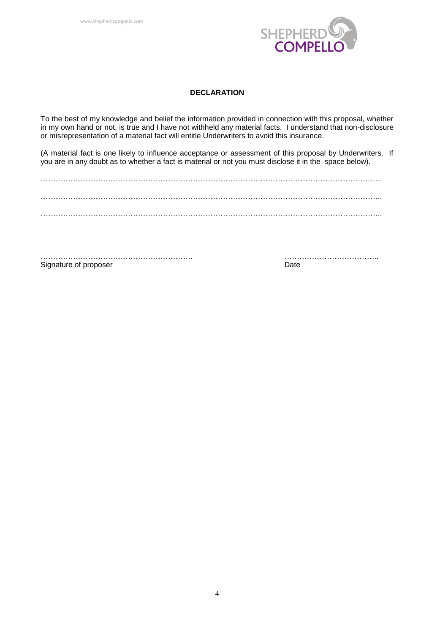

#### **DECLARATION**

To the best of my knowledge and belief the information provided in connection with this proposal, whether in my own hand or not, is true and I have not withheld any material facts. I understand that non-disclosure or misrepresentation of a material fact will entitle Underwriters to avoid this insurance.

(A material fact is one likely to influence acceptance or assessment of this proposal by Underwriters. If you are in any doubt as to whether a fact is material or not you must disclose it in the space below).

……………………………………………………………………………………………………………………….. ………………………………………………………………………………………………………………………..

……………………………………………………. ……………………………….. Signature of proposer Date Date Date Date